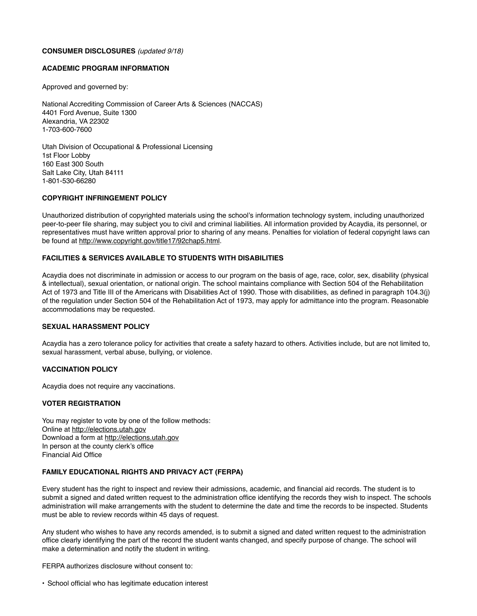#### **CONSUMER DISCLOSURES** *(updated 9/18)*

## **ACADEMIC PROGRAM INFORMATION**

Approved and governed by:

National Accrediting Commission of Career Arts & Sciences (NACCAS) 4401 Ford Avenue, Suite 1300 Alexandria, VA 22302 1-703-600-7600

Utah Division of Occupational & Professional Licensing 1st Floor Lobby 160 East 300 South Salt Lake City, Utah 84111 1-801-530-66280

## **COPYRIGHT INFRINGEMENT POLICY**

Unauthorized distribution of copyrighted materials using the school's information technology system, including unauthorized peer-to-peer file sharing, may subject you to civil and criminal liabilities. All information provided by Acaydia, its personnel, or representatives must have written approval prior to sharing of any means. Penalties for violation of federal copyright laws can be found at <http://www.copyright.gov/title17/92chap5.html>.

## **FACILITIES & SERVICES AVAILABLE TO STUDENTS WITH DISABILITIES**

Acaydia does not discriminate in admission or access to our program on the basis of age, race, color, sex, disability (physical & intellectual), sexual orientation, or national origin. The school maintains compliance with Section 504 of the Rehabilitation Act of 1973 and Title III of the Americans with Disabilities Act of 1990. Those with disabilities, as defined in paragraph 104.3(j) of the regulation under Section 504 of the Rehabilitation Act of 1973, may apply for admittance into the program. Reasonable accommodations may be requested.

## **SEXUAL HARASSMENT POLICY**

Acaydia has a zero tolerance policy for activities that create a safety hazard to others. Activities include, but are not limited to, sexual harassment, verbal abuse, bullying, or violence.

## **VACCINATION POLICY**

Acaydia does not require any vaccinations.

## **VOTER REGISTRATION**

You may register to vote by one of the follow methods: Online at <http://elections.utah.gov> Download a form at <http://elections.utah.gov> In person at the county clerk's office Financial Aid Office

## **FAMILY EDUCATIONAL RIGHTS AND PRIVACY ACT (FERPA)**

Every student has the right to inspect and review their admissions, academic, and financial aid records. The student is to submit a signed and dated written request to the administration office identifying the records they wish to inspect. The schools administration will make arrangements with the student to determine the date and time the records to be inspected. Students must be able to review records within 45 days of request.

Any student who wishes to have any records amended, is to submit a signed and dated written request to the administration office clearly identifying the part of the record the student wants changed, and specify purpose of change. The school will make a determination and notify the student in writing.

FERPA authorizes disclosure without consent to:

• School official who has legitimate education interest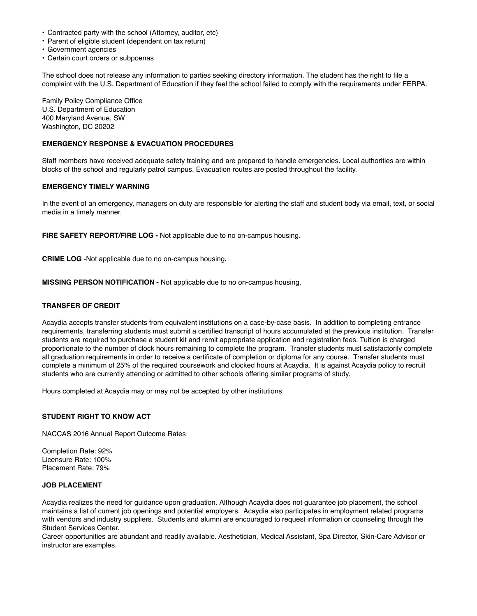- Contracted party with the school (Attorney, auditor, etc)
- Parent of eligible student (dependent on tax return)
- Government agencies
- Certain court orders or subpoenas

The school does not release any information to parties seeking directory information. The student has the right to file a complaint with the U.S. Department of Education if they feel the school failed to comply with the requirements under FERPA.

Family Policy Compliance Office U.S. Department of Education 400 Maryland Avenue, SW Washington, DC 20202

## **EMERGENCY RESPONSE & EVACUATION PROCEDURES**

Staff members have received adequate safety training and are prepared to handle emergencies. Local authorities are within blocks of the school and regularly patrol campus. Evacuation routes are posted throughout the facility.

## **EMERGENCY TIMELY WARNING**

In the event of an emergency, managers on duty are responsible for alerting the staff and student body via email, text, or social media in a timely manner.

**FIRE SAFETY REPORT/FIRE LOG -** Not applicable due to no on-campus housing.

**CRIME LOG -**Not applicable due to no on-campus housing**.**

**MISSING PERSON NOTIFICATION -** Not applicable due to no on-campus housing.

## **TRANSFER OF CREDIT**

Acaydia accepts transfer students from equivalent institutions on a case-by-case basis. In addition to completing entrance requirements, transferring students must submit a certified transcript of hours accumulated at the previous institution. Transfer students are required to purchase a student kit and remit appropriate application and registration fees. Tuition is charged proportionate to the number of clock hours remaining to complete the program. Transfer students must satisfactorily complete all graduation requirements in order to receive a certificate of completion or diploma for any course. Transfer students must complete a minimum of 25% of the required coursework and clocked hours at Acaydia. It is against Acaydia policy to recruit students who are currently attending or admitted to other schools offering similar programs of study.

Hours completed at Acaydia may or may not be accepted by other institutions.

## **STUDENT RIGHT TO KNOW ACT**

NACCAS 2016 Annual Report Outcome Rates

Completion Rate: 92% Licensure Rate: 100% Placement Rate: 79%

# **JOB PLACEMENT**

Acaydia realizes the need for guidance upon graduation. Although Acaydia does not guarantee job placement, the school maintains a list of current job openings and potential employers. Acaydia also participates in employment related programs with vendors and industry suppliers. Students and alumni are encouraged to request information or counseling through the Student Services Center.

Career opportunities are abundant and readily available. Aesthetician, Medical Assistant, Spa Director, Skin-Care Advisor or instructor are examples.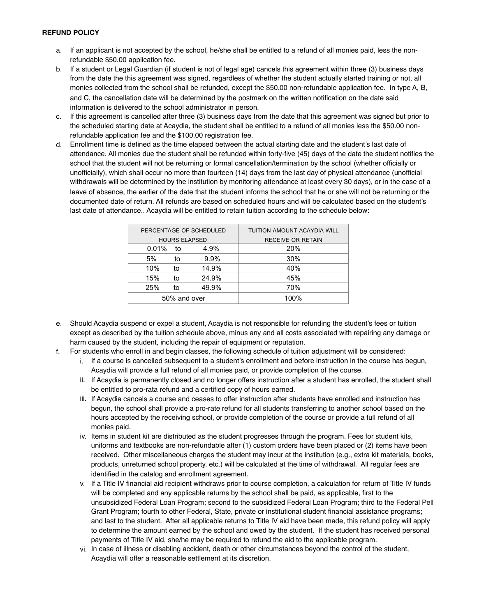- a. If an applicant is not accepted by the school, he/she shall be entitled to a refund of all monies paid, less the nonrefundable \$50.00 application fee.
- b. If a student or Legal Guardian (if student is not of legal age) cancels this agreement within three (3) business days from the date the this agreement was signed, regardless of whether the student actually started training or not, all monies collected from the school shall be refunded, except the \$50.00 non-refundable application fee. In type A, B, and C, the cancellation date will be determined by the postmark on the written notification on the date said information is delivered to the school administrator in person.
- c. If this agreement is cancelled after three (3) business days from the date that this agreement was signed but prior to the scheduled starting date at Acaydia, the student shall be entitled to a refund of all monies less the \$50.00 nonrefundable application fee and the \$100.00 registration fee.
- d. Enrollment time is defined as the time elapsed between the actual starting date and the student's last date of attendance. All monies due the student shall be refunded within forty-five (45) days of the date the student notifies the school that the student will not be returning or formal cancellation/termination by the school (whether officially or unofficially), which shall occur no more than fourteen (14) days from the last day of physical attendance (unofficial withdrawals will be determined by the institution by monitoring attendance at least every 30 days), or in the case of a leave of absence, the earlier of the date that the student informs the school that he or she will not be returning or the documented date of return. All refunds are based on scheduled hours and will be calculated based on the student's last date of attendance.. Acaydia will be entitled to retain tuition according to the schedule below:

|             |    | PERCENTAGE OF SCHEDULED | TUITION AMOUNT ACAYDIA WILL |  |  |  |  |  |
|-------------|----|-------------------------|-----------------------------|--|--|--|--|--|
|             |    | <b>HOURS ELAPSED</b>    | <b>RECEIVE OR RETAIN</b>    |  |  |  |  |  |
| $0.01\%$ to |    | 4.9%                    | 20%                         |  |  |  |  |  |
| 5%          | to | 9.9%                    | 30%                         |  |  |  |  |  |
| 10%         | to | 14.9%                   | 40%                         |  |  |  |  |  |
| 15%         | to | 24.9%                   | 45%                         |  |  |  |  |  |
| 25%         | to | 49.9%                   | 70%                         |  |  |  |  |  |
|             |    | 50% and over            | 100%                        |  |  |  |  |  |

- e. Should Acaydia suspend or expel a student, Acaydia is not responsible for refunding the student's fees or tuition except as described by the tuition schedule above, minus any and all costs associated with repairing any damage or harm caused by the student, including the repair of equipment or reputation.
- f. For students who enroll in and begin classes, the following schedule of tuition adjustment will be considered:
	- i. If a course is cancelled subsequent to a student's enrollment and before instruction in the course has begun, Acaydia will provide a full refund of all monies paid, or provide completion of the course.
	- ii. If Acaydia is permanently closed and no longer offers instruction after a student has enrolled, the student shall be entitled to pro-rata refund and a certified copy of hours earned.
	- iii. If Acaydia cancels a course and ceases to offer instruction after students have enrolled and instruction has begun, the school shall provide a pro-rate refund for all students transferring to another school based on the hours accepted by the receiving school, or provide completion of the course or provide a full refund of all monies paid.
	- iv. Items in student kit are distributed as the student progresses through the program. Fees for student kits, uniforms and textbooks are non-refundable after (1) custom orders have been placed or (2) items have been received. Other miscellaneous charges the student may incur at the institution (e.g., extra kit materials, books, products, unreturned school property, etc.) will be calculated at the time of withdrawal. All regular fees are identified in the catalog and enrollment agreement.
	- v. If a Title IV financial aid recipient withdraws prior to course completion, a calculation for return of Title IV funds will be completed and any applicable returns by the school shall be paid, as applicable, first to the unsubsidized Federal Loan Program; second to the subsidized Federal Loan Program; third to the Federal Pell Grant Program; fourth to other Federal, State, private or institutional student financial assistance programs; and last to the student. After all applicable returns to Title IV aid have been made, this refund policy will apply to determine the amount earned by the school and owed by the student. If the student has received personal payments of Title IV aid, she/he may be required to refund the aid to the applicable program.
	- vi. In case of illness or disabling accident, death or other circumstances beyond the control of the student, Acaydia will offer a reasonable settlement at its discretion.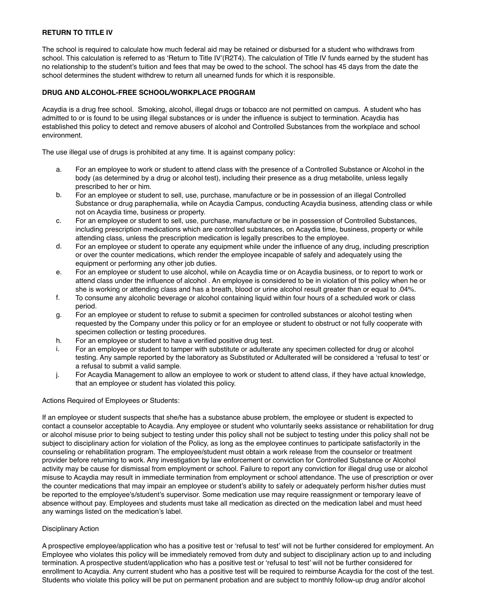# **RETURN TO TITLE IV**

The school is required to calculate how much federal aid may be retained or disbursed for a student who withdraws from school. This calculation is referred to as 'Return to Title IV'(R2T4). The calculation of Title IV funds earned by the student has no relationship to the student's tuition and fees that may be owed to the school. The school has 45 days from the date the school determines the student withdrew to return all unearned funds for which it is responsible.

## **DRUG AND ALCOHOL-FREE SCHOOL/WORKPLACE PROGRAM**

Acaydia is a drug free school. Smoking, alcohol, illegal drugs or tobacco are not permitted on campus. A student who has admitted to or is found to be using illegal substances or is under the influence is subject to termination. Acaydia has established this policy to detect and remove abusers of alcohol and Controlled Substances from the workplace and school environment.

The use illegal use of drugs is prohibited at any time. It is against company policy:

- a. For an employee to work or student to attend class with the presence of a Controlled Substance or Alcohol in the body (as determined by a drug or alcohol test), including their presence as a drug metabolite, unless legally prescribed to her or him.
- b. For an employee or student to sell, use, purchase, manufacture or be in possession of an illegal Controlled Substance or drug paraphernalia, while on Acaydia Campus, conducting Acaydia business, attending class or while not on Acaydia time, business or property.
- c. For an employee or student to sell, use, purchase, manufacture or be in possession of Controlled Substances, including prescription medications which are controlled substances, on Acaydia time, business, property or while attending class, unless the prescription medication is legally prescribes to the employee.
- d. For an employee or student to operate any equipment while under the influence of any drug, including prescription or over the counter medications, which render the employee incapable of safely and adequately using the equipment or performing any other job duties.
- e. For an employee or student to use alcohol, while on Acaydia time or on Acaydia business, or to report to work or attend class under the influence of alcohol . An employee is considered to be in violation of this policy when he or she is working or attending class and has a breath, blood or urine alcohol result greater than or equal to .04%.
- f. To consume any alcoholic beverage or alcohol containing liquid within four hours of a scheduled work or class period.
- g. For an employee or student to refuse to submit a specimen for controlled substances or alcohol testing when requested by the Company under this policy or for an employee or student to obstruct or not fully cooperate with specimen collection or testing procedures.
- h. For an employee or student to have a verified positive drug test.
- i. For an employee or student to tamper with substitute or adulterate any specimen collected for drug or alcohol testing. Any sample reported by the laboratory as Substituted or Adulterated will be considered a 'refusal to test' or a refusal to submit a valid sample.
- j. For Acaydia Management to allow an employee to work or student to attend class, if they have actual knowledge, that an employee or student has violated this policy.

Actions Required of Employees or Students:

If an employee or student suspects that she/he has a substance abuse problem, the employee or student is expected to contact a counselor acceptable to Acaydia. Any employee or student who voluntarily seeks assistance or rehabilitation for drug or alcohol misuse prior to being subject to testing under this policy shall not be subject to testing under this policy shall not be subject to disciplinary action for violation of the Policy, as long as the employee continues to participate satisfactorily in the counseling or rehabilitation program. The employee/student must obtain a work release from the counselor or treatment provider before returning to work. Any investigation by law enforcement or conviction for Controlled Substance or Alcohol activity may be cause for dismissal from employment or school. Failure to report any conviction for illegal drug use or alcohol misuse to Acaydia may result in immediate termination from employment or school attendance. The use of prescription or over the counter medications that may impair an employee or student's ability to safely or adequately perform his/her duties must be reported to the employee's/student's supervisor. Some medication use may require reassignment or temporary leave of absence without pay. Employees and students must take all medication as directed on the medication label and must heed any warnings listed on the medication's label.

## Disciplinary Action

A prospective employee/application who has a positive test or 'refusal to test' will not be further considered for employment. An Employee who violates this policy will be immediately removed from duty and subject to disciplinary action up to and including termination. A prospective student/application who has a positive test or 'refusal to test' will not be further considered for enrollment to Acaydia. Any current student who has a positive test will be required to reimburse Acaydia for the cost of the test. Students who violate this policy will be put on permanent probation and are subject to monthly follow-up drug and/or alcohol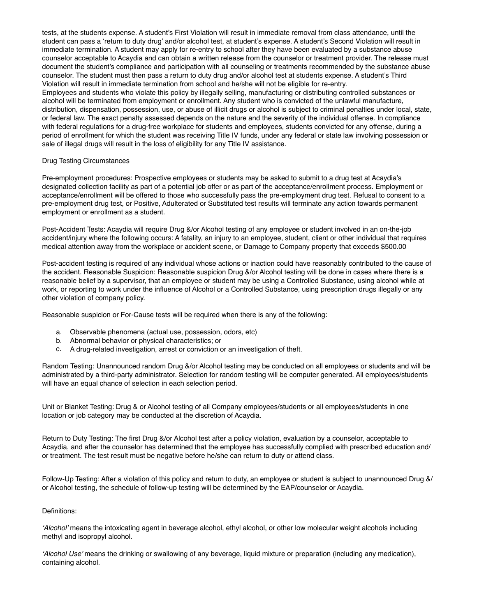tests, at the students expense. A student's First Violation will result in immediate removal from class attendance, until the student can pass a 'return to duty drug' and/or alcohol test, at student's expense. A student's Second Violation will result in immediate termination. A student may apply for re-entry to school after they have been evaluated by a substance abuse counselor acceptable to Acaydia and can obtain a written release from the counselor or treatment provider. The release must document the student's compliance and participation with all counseling or treatments recommended by the substance abuse counselor. The student must then pass a return to duty drug and/or alcohol test at students expense. A student's Third Violation will result in immediate termination from school and he/she will not be eligible for re-entry. Employees and students who violate this policy by illegally selling, manufacturing or distributing controlled substances or alcohol will be terminated from employment or enrollment. Any student who is convicted of the unlawful manufacture, distribution, dispensation, possession, use, or abuse of illicit drugs or alcohol is subject to criminal penalties under local, state, or federal law. The exact penalty assessed depends on the nature and the severity of the individual offense. In compliance with federal regulations for a drug-free workplace for students and employees, students convicted for any offense, during a period of enrollment for which the student was receiving Title IV funds, under any federal or state law involving possession or sale of illegal drugs will result in the loss of eligibility for any Title IV assistance.

## Drug Testing Circumstances

Pre-employment procedures: Prospective employees or students may be asked to submit to a drug test at Acaydia's designated collection facility as part of a potential job offer or as part of the acceptance/enrollment process. Employment or acceptance/enrollment will be offered to those who successfully pass the pre-employment drug test. Refusal to consent to a pre-employment drug test, or Positive, Adulterated or Substituted test results will terminate any action towards permanent employment or enrollment as a student.

Post-Accident Tests: Acaydia will require Drug &/or Alcohol testing of any employee or student involved in an on-the-job accident/injury where the following occurs: A fatality, an injury to an employee, student, client or other individual that requires medical attention away from the workplace or accident scene, or Damage to Company property that exceeds \$500.00

Post-accident testing is required of any individual whose actions or inaction could have reasonably contributed to the cause of the accident. Reasonable Suspicion: Reasonable suspicion Drug &/or Alcohol testing will be done in cases where there is a reasonable belief by a supervisor, that an employee or student may be using a Controlled Substance, using alcohol while at work, or reporting to work under the influence of Alcohol or a Controlled Substance, using prescription drugs illegally or any other violation of company policy.

Reasonable suspicion or For-Cause tests will be required when there is any of the following:

- a. Observable phenomena (actual use, possession, odors, etc)
- b. Abnormal behavior or physical characteristics; or
- c. A drug-related investigation, arrest or conviction or an investigation of theft.

Random Testing: Unannounced random Drug &/or Alcohol testing may be conducted on all employees or students and will be administrated by a third-party administrator. Selection for random testing will be computer generated. All employees/students will have an equal chance of selection in each selection period.

Unit or Blanket Testing: Drug & or Alcohol testing of all Company employees/students or all employees/students in one location or job category may be conducted at the discretion of Acaydia.

Return to Duty Testing: The first Drug &/or Alcohol test after a policy violation, evaluation by a counselor, acceptable to Acaydia, and after the counselor has determined that the employee has successfully complied with prescribed education and/ or treatment. The test result must be negative before he/she can return to duty or attend class.

Follow-Up Testing: After a violation of this policy and return to duty, an employee or student is subject to unannounced Drug &/ or Alcohol testing, the schedule of follow-up testing will be determined by the EAP/counselor or Acaydia.

#### Definitions:

*'Alcohol'* means the intoxicating agent in beverage alcohol, ethyl alcohol, or other low molecular weight alcohols including methyl and isopropyl alcohol.

*'Alcohol Use'* means the drinking or swallowing of any beverage, liquid mixture or preparation (including any medication), containing alcohol.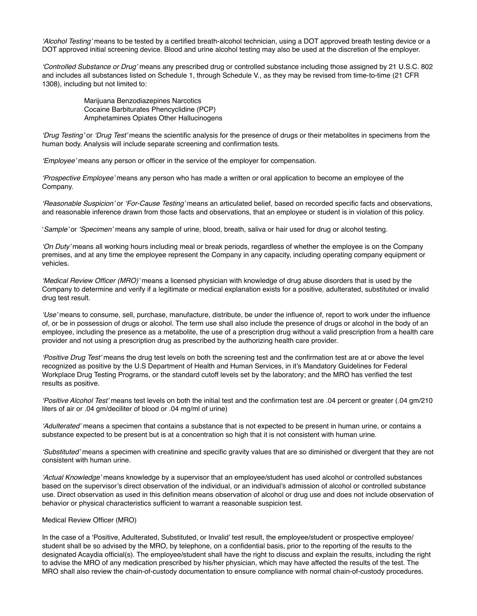*'Alcohol Testing'* means to be tested by a certified breath-alcohol technician, using a DOT approved breath testing device or a DOT approved initial screening device. Blood and urine alcohol testing may also be used at the discretion of the employer.

*'Controlled Substance or Drug'* means any prescribed drug or controlled substance including those assigned by 21 U.S.C. 802 and includes all substances listed on Schedule 1, through Schedule V., as they may be revised from time-to-time (21 CFR 1308), including but not limited to:

> Marijuana Benzodiazepines Narcotics Cocaine Barbiturates Phencyclidine (PCP) Amphetamines Opiates Other Hallucinogens

*'Drug Testing'* or *'Drug Test'* means the scientific analysis for the presence of drugs or their metabolites in specimens from the human body. Analysis will include separate screening and confirmation tests.

*'Employee'* means any person or officer in the service of the employer for compensation.

*'Prospective Employee'* means any person who has made a written or oral application to become an employee of the Company.

*'Reasonable Suspicion'* or *'For-Cause Testing'* means an articulated belief, based on recorded specific facts and observations, and reasonable inference drawn from those facts and observations, that an employee or student is in violation of this policy.

'*Sample'* or *'Specimen'* means any sample of urine, blood, breath, saliva or hair used for drug or alcohol testing.

*'On Duty'* means all working hours including meal or break periods, regardless of whether the employee is on the Company premises, and at any time the employee represent the Company in any capacity, including operating company equipment or vehicles.

*'Medical Review Officer (MRO)'* means a licensed physician with knowledge of drug abuse disorders that is used by the Company to determine and verify if a legitimate or medical explanation exists for a positive, adulterated, substituted or invalid drug test result.

*'Use'* means to consume, sell, purchase, manufacture, distribute, be under the influence of, report to work under the influence of, or be in possession of drugs or alcohol. The term use shall also include the presence of drugs or alcohol in the body of an employee, including the presence as a metabolite, the use of a prescription drug without a valid prescription from a health care provider and not using a prescription drug as prescribed by the authorizing health care provider.

*'Positive Drug Test'* means the drug test levels on both the screening test and the confirmation test are at or above the level recognized as positive by the U.S Department of Health and Human Services, in it's Mandatory Guidelines for Federal Workplace Drug Testing Programs, or the standard cutoff levels set by the laboratory; and the MRO has verified the test results as positive.

*'Positive Alcohol Test'* means test levels on both the initial test and the confirmation test are .04 percent or greater (.04 gm/210 liters of air or .04 gm/deciliter of blood or .04 mg/ml of urine)

*'Adulterated'* means a specimen that contains a substance that is not expected to be present in human urine, or contains a substance expected to be present but is at a concentration so high that it is not consistent with human urine.

*'Substituted'* means a specimen with creatinine and specific gravity values that are so diminished or divergent that they are not consistent with human urine.

*'Actual Knowledge'* means knowledge by a supervisor that an employee/student has used alcohol or controlled substances based on the supervisor's direct observation of the individual, or an individual's admission of alcohol or controlled substance use. Direct observation as used in this definition means observation of alcohol or drug use and does not include observation of behavior or physical characteristics sufficient to warrant a reasonable suspicion test.

## Medical Review Officer (MRO)

In the case of a 'Positive, Adulterated, Substituted, or Invalid' test result, the employee/student or prospective employee/ student shall be so advised by the MRO, by telephone, on a confidential basis, prior to the reporting of the results to the designated Acaydia official(s). The employee/student shall have the right to discuss and explain the results, including the right to advise the MRO of any medication prescribed by his/her physician, which may have affected the results of the test. The MRO shall also review the chain-of-custody documentation to ensure compliance with normal chain-of-custody procedures.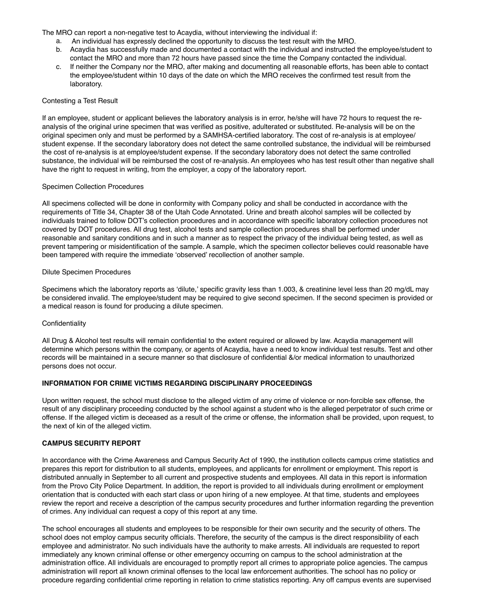The MRO can report a non-negative test to Acaydia, without interviewing the individual if:

- a. An individual has expressly declined the opportunity to discuss the test result with the MRO.
- b. Acaydia has successfully made and documented a contact with the individual and instructed the employee/student to contact the MRO and more than 72 hours have passed since the time the Company contacted the individual.
- c. If neither the Company nor the MRO, after making and documenting all reasonable efforts, has been able to contact the employee/student within 10 days of the date on which the MRO receives the confirmed test result from the laboratory.

### Contesting a Test Result

If an employee, student or applicant believes the laboratory analysis is in error, he/she will have 72 hours to request the reanalysis of the original urine specimen that was verified as positive, adulterated or substituted. Re-analysis will be on the original specimen only and must be performed by a SAMHSA-certified laboratory. The cost of re-analysis is at employee/ student expense. If the secondary laboratory does not detect the same controlled substance, the individual will be reimbursed the cost of re-analysis is at employee/student expense. If the secondary laboratory does not detect the same controlled substance, the individual will be reimbursed the cost of re-analysis. An employees who has test result other than negative shall have the right to request in writing, from the employer, a copy of the laboratory report.

#### Specimen Collection Procedures

All specimens collected will be done in conformity with Company policy and shall be conducted in accordance with the requirements of Title 34, Chapter 38 of the Utah Code Annotated. Urine and breath alcohol samples will be collected by individuals trained to follow DOT's collection procedures and in accordance with specific laboratory collection procedures not covered by DOT procedures. All drug test, alcohol tests and sample collection procedures shall be performed under reasonable and sanitary conditions and in such a manner as to respect the privacy of the individual being tested, as well as prevent tampering or misidentification of the sample. A sample, which the specimen collector believes could reasonable have been tampered with require the immediate 'observed' recollection of another sample.

#### Dilute Specimen Procedures

Specimens which the laboratory reports as 'dilute,' specific gravity less than 1.003, & creatinine level less than 20 mg/dL may be considered invalid. The employee/student may be required to give second specimen. If the second specimen is provided or a medical reason is found for producing a dilute specimen.

## Confidentiality

All Drug & Alcohol test results will remain confidential to the extent required or allowed by law. Acaydia management will determine which persons within the company, or agents of Acaydia, have a need to know individual test results. Test and other records will be maintained in a secure manner so that disclosure of confidential &/or medical information to unauthorized persons does not occur.

## **INFORMATION FOR CRIME VICTIMS REGARDING DISCIPLINARY PROCEEDINGS**

Upon written request, the school must disclose to the alleged victim of any crime of violence or non-forcible sex offense, the result of any disciplinary proceeding conducted by the school against a student who is the alleged perpetrator of such crime or offense. If the alleged victim is deceased as a result of the crime or offense, the information shall be provided, upon request, to the next of kin of the alleged victim.

## **CAMPUS SECURITY REPORT**

In accordance with the Crime Awareness and Campus Security Act of 1990, the institution collects campus crime statistics and prepares this report for distribution to all students, employees, and applicants for enrollment or employment. This report is distributed annually in September to all current and prospective students and employees. All data in this report is information from the Provo City Police Department. In addition, the report is provided to all individuals during enrollment or employment orientation that is conducted with each start class or upon hiring of a new employee. At that time, students and employees review the report and receive a description of the campus security procedures and further information regarding the prevention of crimes. Any individual can request a copy of this report at any time.

The school encourages all students and employees to be responsible for their own security and the security of others. The school does not employ campus security officials. Therefore, the security of the campus is the direct responsibility of each employee and administrator. No such individuals have the authority to make arrests. All individuals are requested to report immediately any known criminal offense or other emergency occurring on campus to the school administration at the administration office. All individuals are encouraged to promptly report all crimes to appropriate police agencies. The campus administration will report all known criminal offenses to the local law enforcement authorities. The school has no policy or procedure regarding confidential crime reporting in relation to crime statistics reporting. Any off campus events are supervised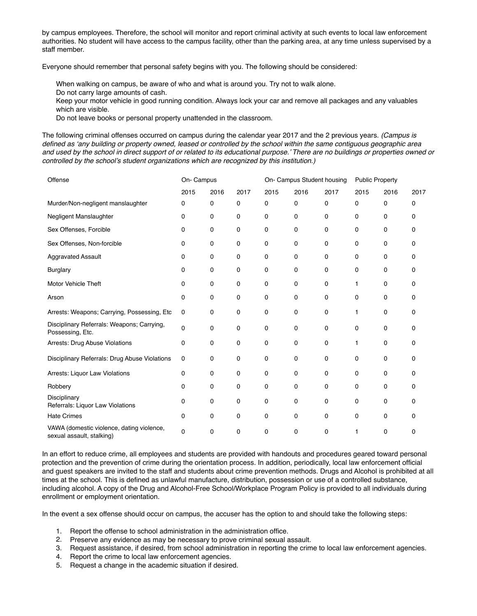by campus employees. Therefore, the school will monitor and report criminal activity at such events to local law enforcement authorities. No student will have access to the campus facility, other than the parking area, at any time unless supervised by a staff member.

Everyone should remember that personal safety begins with you. The following should be considered:

When walking on campus, be aware of who and what is around you. Try not to walk alone.

Do not carry large amounts of cash.

Keep your motor vehicle in good running condition. Always lock your car and remove all packages and any valuables which are visible.

Do not leave books or personal property unattended in the classroom.

The following criminal offenses occurred on campus during the calendar year 2017 and the 2 previous years. *(Campus is defined as 'any building or property owned, leased or controlled by the school within the same contiguous geographic area and used by the school in direct support of or related to its educational purpose.' There are no buildings or properties owned or controlled by the school's student organizations which are recognized by this institution.)*

| Offense                                                                | On- Campus |      |      | On- Campus Student housing |      |      | <b>Public Property</b> |      |      |
|------------------------------------------------------------------------|------------|------|------|----------------------------|------|------|------------------------|------|------|
|                                                                        | 2015       | 2016 | 2017 | 2015                       | 2016 | 2017 | 2015                   | 2016 | 2017 |
| Murder/Non-negligent manslaughter                                      | 0          | 0    | 0    | 0                          | 0    | 0    | 0                      | 0    | 0    |
| Negligent Manslaughter                                                 | 0          | 0    | 0    | 0                          | 0    | 0    | 0                      | 0    | 0    |
| Sex Offenses, Forcible                                                 | 0          | 0    | 0    | 0                          | 0    | 0    | 0                      | 0    | 0    |
| Sex Offenses, Non-forcible                                             | 0          | 0    | 0    | 0                          | 0    | 0    | 0                      | 0    | 0    |
| <b>Aggravated Assault</b>                                              | 0          | 0    | 0    | 0                          | 0    | 0    | 0                      | 0    | 0    |
| <b>Burglary</b>                                                        | 0          | 0    | 0    | 0                          | 0    | 0    | 0                      | 0    | 0    |
| <b>Motor Vehicle Theft</b>                                             | 0          | 0    | 0    | 0                          | 0    | 0    | 1                      | 0    | 0    |
| Arson                                                                  | 0          | 0    | 0    | 0                          | 0    | 0    | 0                      | 0    | 0    |
| Arrests: Weapons; Carrying, Possessing, Etc                            | 0          | 0    | 0    | 0                          | 0    | 0    | 1                      | 0    | 0    |
| Disciplinary Referrals: Weapons; Carrying,<br>Possessing, Etc.         | 0          | 0    | 0    | 0                          | 0    | 0    | 0                      | 0    | 0    |
| Arrests: Drug Abuse Violations                                         | 0          | 0    | 0    | 0                          | 0    | 0    | 1                      | 0    | 0    |
| Disciplinary Referrals: Drug Abuse Violations                          | 0          | 0    | 0    | 0                          | 0    | 0    | 0                      | 0    | 0    |
| Arrests: Liquor Law Violations                                         | 0          | 0    | 0    | 0                          | 0    | 0    | 0                      | 0    | 0    |
| Robbery                                                                | 0          | 0    | 0    | 0                          | 0    | 0    | 0                      | 0    | 0    |
| Disciplinary<br>Referrals: Liquor Law Violations                       | 0          | 0    | 0    | 0                          | 0    | 0    | 0                      | 0    | 0    |
| <b>Hate Crimes</b>                                                     | 0          | 0    | 0    | 0                          | 0    | 0    | 0                      | 0    | 0    |
| VAWA (domestic violence, dating violence,<br>sexual assault, stalking) | 0          | 0    | 0    | 0                          | 0    | 0    | 1                      | 0    | 0    |

In an effort to reduce crime, all employees and students are provided with handouts and procedures geared toward personal protection and the prevention of crime during the orientation process. In addition, periodically, local law enforcement official and guest speakers are invited to the staff and students about crime prevention methods. Drugs and Alcohol is prohibited at all times at the school. This is defined as unlawful manufacture, distribution, possession or use of a controlled substance, including alcohol. A copy of the Drug and Alcohol-Free School/Workplace Program Policy is provided to all individuals during enrollment or employment orientation.

In the event a sex offense should occur on campus, the accuser has the option to and should take the following steps:

1. Report the offense to school administration in the administration office.

- 2. Preserve any evidence as may be necessary to prove criminal sexual assault.
- 3. Request assistance, if desired, from school administration in reporting the crime to local law enforcement agencies.
- 4. Report the crime to local law enforcement agencies.
- 5. Request a change in the academic situation if desired.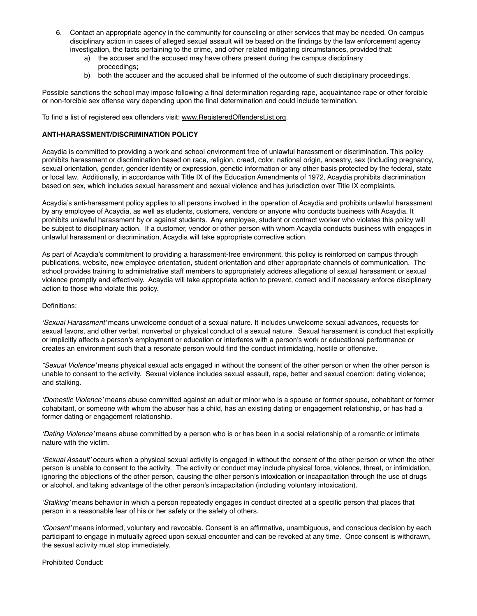- 6. Contact an appropriate agency in the community for counseling or other services that may be needed. On campus disciplinary action in cases of alleged sexual assault will be based on the findings by the law enforcement agency investigation, the facts pertaining to the crime, and other related mitigating circumstances, provided that:
	- a) the accuser and the accused may have others present during the campus disciplinary proceedings;
	- b) both the accuser and the accused shall be informed of the outcome of such disciplinary proceedings.

Possible sanctions the school may impose following a final determination regarding rape, acquaintance rape or other forcible or non-forcible sex offense vary depending upon the final determination and could include termination.

To find a list of registered sex offenders visit: [www.RegisteredOffendersList.org](http://www.RegisteredOffendersList.org).

## **ANTI-HARASSMENT/DISCRIMINATION POLICY**

Acaydia is committed to providing a work and school environment free of unlawful harassment or discrimination. This policy prohibits harassment or discrimination based on race, religion, creed, color, national origin, ancestry, sex (including pregnancy, sexual orientation, gender, gender identity or expression, genetic information or any other basis protected by the federal, state or local law. Additionally, in accordance with Title IX of the Education Amendments of 1972, Acaydia prohibits discrimination based on sex, which includes sexual harassment and sexual violence and has jurisdiction over Title IX complaints.

Acaydia's anti-harassment policy applies to all persons involved in the operation of Acaydia and prohibits unlawful harassment by any employee of Acaydia, as well as students, customers, vendors or anyone who conducts business with Acaydia. It prohibits unlawful harassment by or against students. Any employee, student or contract worker who violates this policy will be subject to disciplinary action. If a customer, vendor or other person with whom Acaydia conducts business with engages in unlawful harassment or discrimination, Acaydia will take appropriate corrective action.

As part of Acaydia's commitment to providing a harassment-free environment, this policy is reinforced on campus through publications, website, new employee orientation, student orientation and other appropriate channels of communication. The school provides training to administrative staff members to appropriately address allegations of sexual harassment or sexual violence promptly and effectively. Acaydia will take appropriate action to prevent, correct and if necessary enforce disciplinary action to those who violate this policy.

#### Definitions:

*'Sexual Harassment'* means unwelcome conduct of a sexual nature. It includes unwelcome sexual advances, requests for sexual favors, and other verbal, nonverbal or physical conduct of a sexual nature. Sexual harassment is conduct that explicitly or implicitly affects a person's employment or education or interferes with a person's work or educational performance or creates an environment such that a resonate person would find the conduct intimidating, hostile or offensive.

*"Sexual Violence'* means physical sexual acts engaged in without the consent of the other person or when the other person is unable to consent to the activity. Sexual violence includes sexual assault, rape, better and sexual coercion; dating violence; and stalking.

*'Domestic Violence'* means abuse committed against an adult or minor who is a spouse or former spouse, cohabitant or former cohabitant, or someone with whom the abuser has a child, has an existing dating or engagement relationship, or has had a former dating or engagement relationship.

*'Dating Violence'* means abuse committed by a person who is or has been in a social relationship of a romantic or intimate nature with the victim.

*'Sexual Assault'* occurs when a physical sexual activity is engaged in without the consent of the other person or when the other person is unable to consent to the activity. The activity or conduct may include physical force, violence, threat, or intimidation, ignoring the objections of the other person, causing the other person's intoxication or incapacitation through the use of drugs or alcohol, and taking advantage of the other person's incapacitation (including voluntary intoxication).

*'Stalking'* means behavior in which a person repeatedly engages in conduct directed at a specific person that places that person in a reasonable fear of his or her safety or the safety of others.

*'Consent'* means informed, voluntary and revocable. Consent is an affirmative, unambiguous, and conscious decision by each participant to engage in mutually agreed upon sexual encounter and can be revoked at any time. Once consent is withdrawn, the sexual activity must stop immediately.

Prohibited Conduct: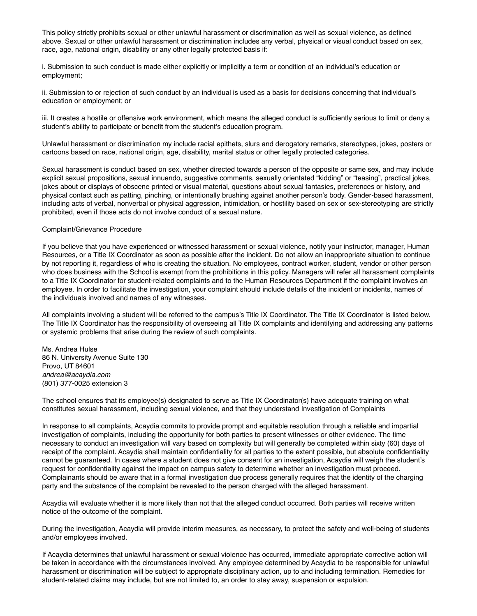This policy strictly prohibits sexual or other unlawful harassment or discrimination as well as sexual violence, as defined above. Sexual or other unlawful harassment or discrimination includes any verbal, physical or visual conduct based on sex, race, age, national origin, disability or any other legally protected basis if:

i. Submission to such conduct is made either explicitly or implicitly a term or condition of an individual's education or employment;

ii. Submission to or rejection of such conduct by an individual is used as a basis for decisions concerning that individual's education or employment; or

iii. It creates a hostile or offensive work environment, which means the alleged conduct is sufficiently serious to limit or deny a student's ability to participate or benefit from the student's education program.

Unlawful harassment or discrimination my include racial epithets, slurs and derogatory remarks, stereotypes, jokes, posters or cartoons based on race, national origin, age, disability, marital status or other legally protected categories.

Sexual harassment is conduct based on sex, whether directed towards a person of the opposite or same sex, and may include explicit sexual propositions, sexual innuendo, suggestive comments, sexually orientated "kidding" or "teasing", practical jokes, jokes about or displays of obscene printed or visual material, questions about sexual fantasies, preferences or history, and physical contact such as patting, pinching, or intentionally brushing against another person's body. Gender-based harassment, including acts of verbal, nonverbal or physical aggression, intimidation, or hostility based on sex or sex-stereotyping are strictly prohibited, even if those acts do not involve conduct of a sexual nature.

#### Complaint/Grievance Procedure

If you believe that you have experienced or witnessed harassment or sexual violence, notify your instructor, manager, Human Resources, or a Title IX Coordinator as soon as possible after the incident. Do not allow an inappropriate situation to continue by not reporting it, regardless of who is creating the situation. No employees, contract worker, student, vendor or other person who does business with the School is exempt from the prohibitions in this policy. Managers will refer all harassment complaints to a Title IX Coordinator for student-related complaints and to the Human Resources Department if the complaint involves an employee. In order to facilitate the investigation, your complaint should include details of the incident or incidents, names of the individuals involved and names of any witnesses.

All complaints involving a student will be referred to the campus's Title IX Coordinator. The Title IX Coordinator is listed below. The Title IX Coordinator has the responsibility of overseeing all Title IX complaints and identifying and addressing any patterns or systemic problems that arise during the review of such complaints.

Ms. Andrea Hulse 86 N. University Avenue Suite 130 Provo, UT 84601 *[andrea@acaydia.com](mailto:andrea@acaydia.com)* (801) 377-0025 extension 3

The school ensures that its employee(s) designated to serve as Title IX Coordinator(s) have adequate training on what constitutes sexual harassment, including sexual violence, and that they understand Investigation of Complaints

In response to all complaints, Acaydia commits to provide prompt and equitable resolution through a reliable and impartial investigation of complaints, including the opportunity for both parties to present witnesses or other evidence. The time necessary to conduct an investigation will vary based on complexity but will generally be completed within sixty (60) days of receipt of the complaint. Acaydia shall maintain confidentiality for all parties to the extent possible, but absolute confidentiality cannot be guaranteed. In cases where a student does not give consent for an investigation, Acaydia will weigh the student's request for confidentiality against the impact on campus safety to determine whether an investigation must proceed. Complainants should be aware that in a formal investigation due process generally requires that the identity of the charging party and the substance of the complaint be revealed to the person charged with the alleged harassment.

Acaydia will evaluate whether it is more likely than not that the alleged conduct occurred. Both parties will receive written notice of the outcome of the complaint.

During the investigation, Acaydia will provide interim measures, as necessary, to protect the safety and well-being of students and/or employees involved.

If Acaydia determines that unlawful harassment or sexual violence has occurred, immediate appropriate corrective action will be taken in accordance with the circumstances involved. Any employee determined by Acaydia to be responsible for unlawful harassment or discrimination will be subject to appropriate disciplinary action, up to and including termination. Remedies for student-related claims may include, but are not limited to, an order to stay away, suspension or expulsion.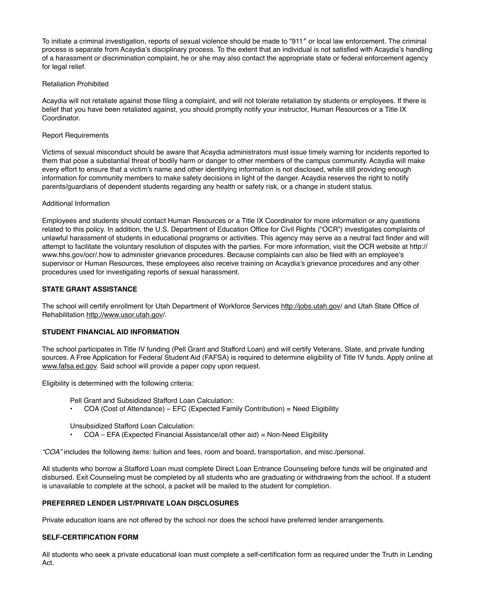To initiate a criminal investigation, reports of sexual violence should be made to "911″ or local law enforcement. The criminal process is separate from Acaydia's disciplinary process. To the extent that an individual is not satisfied with Acaydia's handling of a harassment or discrimination complaint, he or she may also contact the appropriate state or federal enforcement agency for legal relief.

## Retaliation Prohibited

Acaydia will not retaliate against those filing a complaint, and will not tolerate retaliation by students or employees. If there is belief that you have been retaliated against, you should promptly notify your instructor, Human Resources or a Title IX Coordinator.

## Report Requirements

Victims of sexual misconduct should be aware that Acaydia administrators must issue timely warning for incidents reported to them that pose a substantial threat of bodily harm or danger to other members of the campus community. Acaydia will make every effort to ensure that a victim's name and other identifying information is not disclosed, while still providing enough information for community members to make safety decisions in light of the danger. Acaydia reserves the right to notify parents/guardians of dependent students regarding any health or safety risk, or a change in student status.

## Additional Information

Employees and students should contact Human Resources or a Title IX Coordinator for more information or any questions related to this policy. In addition, the U.S. Department of Education Office for Civil Rights ("OCR") investigates complaints of unlawful harassment of students in educational programs or activities. This agency may serve as a neutral fact finder and will attempt to facilitate the voluntary resolution of disputes with the parties. For more information, visit the OCR website at http:// www.hhs.gov/ocr/.how to administer grievance procedures. Because complaints can also be filed with an employee's supervisor or Human Resources, these employees also receive training on Acaydia's grievance procedures and any other procedures used for investigating reports of sexual harassment.

# **STATE GRANT ASSISTANCE**

The school will certify enrollment for Utah Department of Workforce Services <http://jobs.utah.gov>/ and Utah State Office of Rehabilitation<http://www.usor.utah.gov>/.

## **STUDENT FINANCIAL AID INFORMATION**

The school participates in Title IV funding (Pell Grant and Stafford Loan) and will certify Veterans, State, and private funding sources. A Free Application for Federal Student Aid (FAFSA) is required to determine eligibility of Title IV funds. Apply online at [www.fafsa.ed.gov.](http://www.fafsa.ed.gov) Said school will provide a paper copy upon request.

Eligibility is determined with the following criteria:

- Pell Grant and Subsidized Stafford Loan Calculation:
- COA (Cost of Attendance) EFC (Expected Family Contribution) = Need Eligibility

#### Unsubsidized Stafford Loan Calculation:

• COA – EFA (Expected Financial Assistance/all other aid) = Non-Need Eligibility

*"COA"* includes the following items: tuition and fees, room and board, transportation, and misc./personal.

All students who borrow a Stafford Loan must complete Direct Loan Entrance Counseling before funds will be originated and disbursed. Exit Counseling must be completed by all students who are graduating or withdrawing from the school. If a student is unavailable to complete at the school, a packet will be mailed to the student for completion.

## **PREFERRED LENDER LIST/PRIVATE LOAN DISCLOSURES**

Private education loans are not offered by the school nor does the school have preferred lender arrangements.

## **SELF-CERTIFICATION FORM**

All students who seek a private educational loan must complete a self-certification form as required under the Truth in Lending Act.